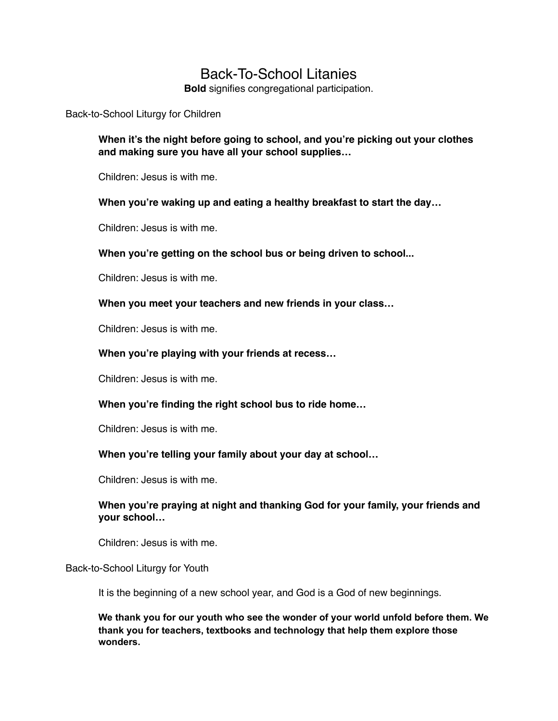# Back-To-School Litanies

**Bold** signifies congregational participation.

Back-to-School Liturgy for Children

**When it's the night before going to school, and you're picking out your clothes and making sure you have all your school supplies…**

Children: Jesus is with me.

#### **When you're waking up and eating a healthy breakfast to start the day…**

Children: Jesus is with me.

**When you're getting on the school bus or being driven to school...**

Children: Jesus is with me.

**When you meet your teachers and new friends in your class…**

Children: Jesus is with me.

#### **When you're playing with your friends at recess…**

Children: Jesus is with me.

#### **When you're finding the right school bus to ride home…**

Children: Jesus is with me.

#### **When you're telling your family about your day at school…**

Children: Jesus is with me.

## **When you're praying at night and thanking God for your family, your friends and your school…**

Children: Jesus is with me.

Back-to-School Liturgy for Youth

It is the beginning of a new school year, and God is a God of new beginnings.

**We thank you for our youth who see the wonder of your world unfold before them. We thank you for teachers, textbooks and technology that help them explore those wonders.**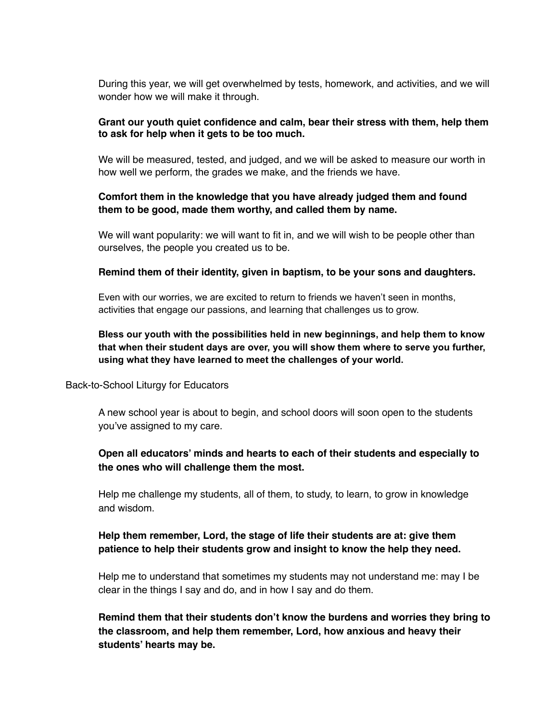During this year, we will get overwhelmed by tests, homework, and activities, and we will wonder how we will make it through.

#### **Grant our youth quiet confidence and calm, bear their stress with them, help them to ask for help when it gets to be too much.**

We will be measured, tested, and judged, and we will be asked to measure our worth in how well we perform, the grades we make, and the friends we have.

### **Comfort them in the knowledge that you have already judged them and found them to be good, made them worthy, and called them by name.**

We will want popularity: we will want to fit in, and we will wish to be people other than ourselves, the people you created us to be.

#### **Remind them of their identity, given in baptism, to be your sons and daughters.**

Even with our worries, we are excited to return to friends we haven't seen in months, activities that engage our passions, and learning that challenges us to grow.

## **Bless our youth with the possibilities held in new beginnings, and help them to know that when their student days are over, you will show them where to serve you further, using what they have learned to meet the challenges of your world.**

#### Back-to-School Liturgy for Educators

A new school year is about to begin, and school doors will soon open to the students you've assigned to my care.

## **Open all educators' minds and hearts to each of their students and especially to the ones who will challenge them the most.**

Help me challenge my students, all of them, to study, to learn, to grow in knowledge and wisdom.

## **Help them remember, Lord, the stage of life their students are at: give them patience to help their students grow and insight to know the help they need.**

Help me to understand that sometimes my students may not understand me: may I be clear in the things I say and do, and in how I say and do them.

**Remind them that their students don't know the burdens and worries they bring to the classroom, and help them remember, Lord, how anxious and heavy their students' hearts may be.**